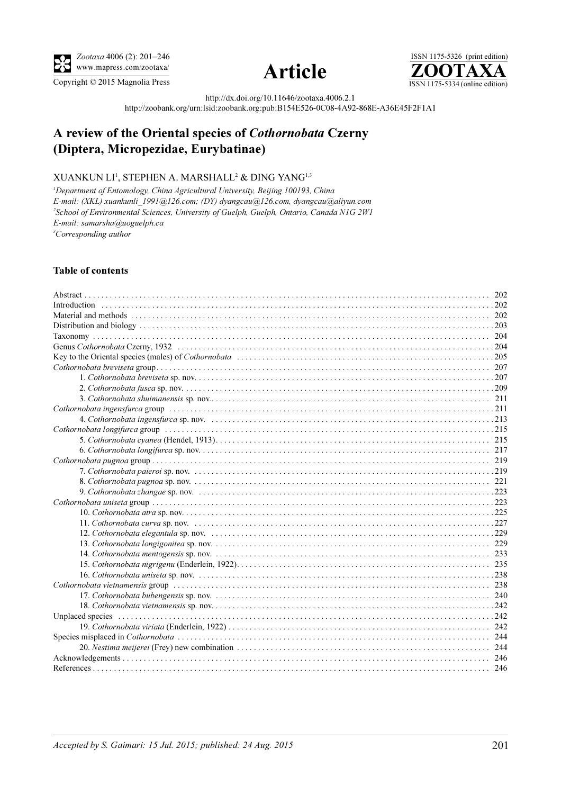





http://dx.doi.org/10.11646/zootaxa.4006.2.1

http://zoobank.org/urn:lsid:zoobank.org:pub:B154E526-0C08-4A92-868E-A36E45F2F1A1

# A review of the Oriental species of Cothornobata Czerny (Diptera, Micropezidae, Eurybatinae)

## XUANKUN  $\mathrm{LI}^1$ , STEPHEN A. MARSHALL $^2$  & DING YANG $^{1,3}$

<sup>1</sup>Department of Entomology, China Agricultural University, Beijing 100193, China E-mail: (XKL) xuankunli\_1991@126.com; (DY) dyangcau@126.com, dyangcau@aliyun.com <sup>2</sup>School of Environmental Sciences, University of Guelph, Guelph, Ontario, Canada N1G 2W1 E-mail: samarsha@uoguelph.ca <sup>3</sup>Corresponding author

### Table of contents

| $Cothornobata uniseta group \dots 223$ |  |
|----------------------------------------|--|
|                                        |  |
|                                        |  |
|                                        |  |
|                                        |  |
|                                        |  |
|                                        |  |
|                                        |  |
|                                        |  |
|                                        |  |
|                                        |  |
|                                        |  |
|                                        |  |
|                                        |  |
|                                        |  |
|                                        |  |
|                                        |  |